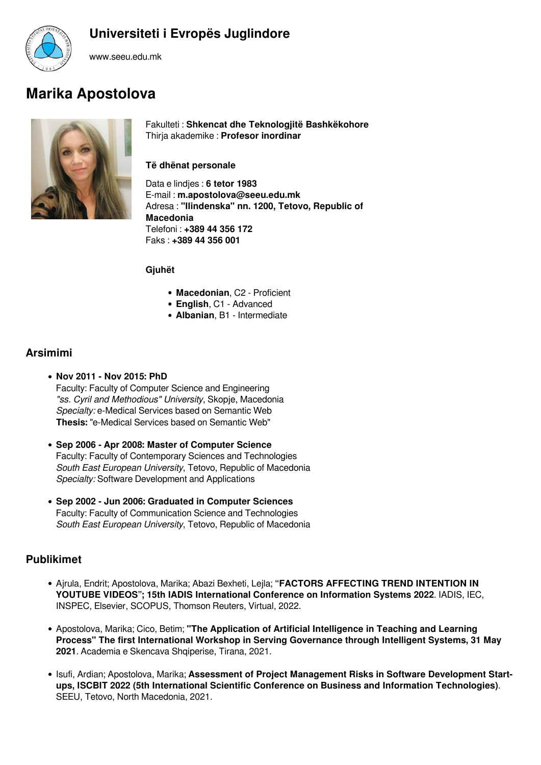



www.seeu.edu.mk

# **Marika Apostolova**



Fakulteti : **Shkencat dhe Teknologjitë Bashkëkohore** Thirja akademike : **Profesor inordinar**

## **Të dhënat personale**

Data e lindjes : **6 tetor 1983** E-mail : **m.apostolova@seeu.edu.mk** Adresa : **"Ilindenska" nn. 1200, Tetovo, Republic of Macedonia** Telefoni : **+389 44 356 172** Faks : **+389 44 356 001**

**Gjuhët**

- **Macedonian**, C2 Proficient
- **English**, C1 Advanced
- **Albanian**, B1 Intermediate

# **Arsimimi**

- **Nov 2011 Nov 2015: PhD**  Faculty: Faculty of Computer Science and Engineering *"ss. Cyril and Methodious" University*, Skopje, Macedonia *Specialty:* e-Medical Services based on Semantic Web **Thesis:** "e-Medical Services based on Semantic Web"
- **Sep 2006 Apr 2008: Master of Computer Science**  Faculty: Faculty of Contemporary Sciences and Technologies *South East European University*, Tetovo, Republic of Macedonia *Specialty:* Software Development and Applications
- **Sep 2002 Jun 2006: Graduated in Computer Sciences** Faculty: Faculty of Communication Science and Technologies *South East European University*, Tetovo, Republic of Macedonia

# **Publikimet**

- Ajrula, Endrit; Apostolova, Marika; Abazi Bexheti, Lejla; **"FACTORS AFFECTING TREND INTENTION IN YOUTUBE VIDEOS"; 15th IADIS International Conference on Information Systems 2022**. IADIS, IEC, INSPEC, Elsevier, SCOPUS, Thomson Reuters, Virtual, 2022.
- Apostolova, Marika; Cico, Betim; **"The Application of Artificial Intelligence in Teaching and Learning Process" The first International Workshop in Serving Governance through Intelligent Systems, 31 May 2021**. Academia e Skencava Shqiperise, Tirana, 2021.
- **.** Isufi, Ardian; Apostolova, Marika; Assessment of Project Management Risks in Software Development Start**ups, ISCBIT 2022 (5th International Scientific Conference on Business and Information Technologies)**. SEEU, Tetovo, North Macedonia, 2021.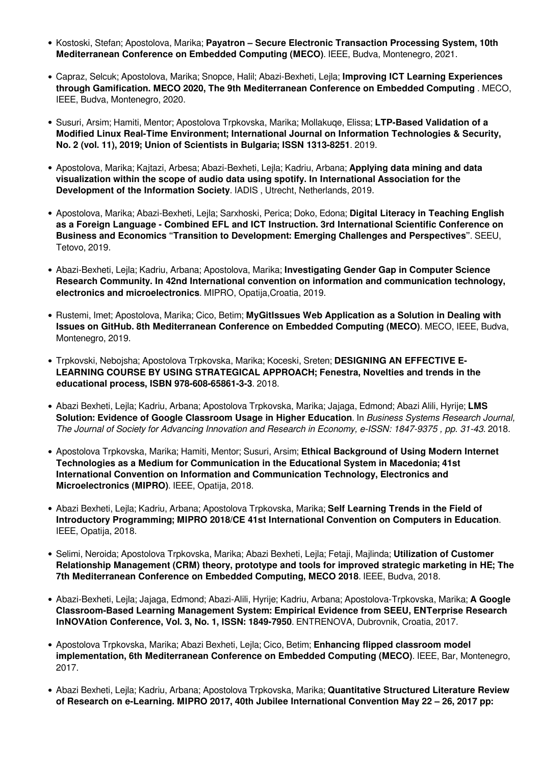- **Kostoski, Stefan; Apostolova, Marika; Payatron Secure Electronic Transaction Processing System, 10th Mediterranean Conference on Embedded Computing (MECO)**. IEEE, Budva, Montenegro, 2021.
- Capraz, Selcuk; Apostolova, Marika; Snopce, Halil; Abazi-Bexheti, Lejla; **Improving ICT Learning Experiences through Gamification. MECO 2020, The 9th Mediterranean Conference on Embedded Computing** . MECO, IEEE, Budva, Montenegro, 2020.
- Susuri, Arsim; Hamiti, Mentor; Apostolova Trpkovska, Marika; Mollakuqe, Elissa; **LTP-Based Validation of a Modified Linux Real-Time Environment; International Journal on Information Technologies & Security, No. 2 (vol. 11), 2019; Union of Scientists in Bulgaria; ISSN 1313-8251**. 2019.
- Apostolova, Marika; Kajtazi, Arbesa; Abazi-Bexheti, Lejla; Kadriu, Arbana; **Applying data mining and data visualization within the scope of audio data using spotify. In International Association for the Development of the Information Society**. IADIS , Utrecht, Netherlands, 2019.
- Apostolova, Marika; Abazi-Bexheti, Lejla; Sarxhoski, Perica; Doko, Edona; **Digital Literacy in Teaching English as a Foreign Language - Combined EFL and ICT Instruction. 3rd International Scientific Conference on Business and Economics "Transition to Development: Emerging Challenges and Perspectives"**. SEEU, Tetovo, 2019.
- Abazi-Bexheti, Lejla; Kadriu, Arbana; Apostolova, Marika; **Investigating Gender Gap in Computer Science Research Community. In 42nd International convention on information and communication technology, electronics and microelectronics**. MIPRO, Opatija,Croatia, 2019.
- Rustemi, Imet; Apostolova, Marika; Cico, Betim; **MyGitIssues Web Application as a Solution in Dealing with Issues on GitHub. 8th Mediterranean Conference on Embedded Computing (MECO)**. MECO, IEEE, Budva, Montenegro, 2019.
- Trpkovski, Nebojsha; Apostolova Trpkovska, Marika; Koceski, Sreten; **DESIGNING AN EFFECTIVE E-LEARNING COURSE BY USING STRATEGICAL APPROACH; Fenestra, Novelties and trends in the educational process, ISBN 978-608-65861-3-3**. 2018.
- Abazi Bexheti, Lejla; Kadriu, Arbana; Apostolova Trpkovska, Marika; Jajaga, Edmond; Abazi Alili, Hyrije; **LMS Solution: Evidence of Google Classroom Usage in Higher Education**. In *Business Systems Research Journal, The Journal of Society for Advancing Innovation and Research in Economy, e-ISSN: 1847-9375 , pp. 31-43*. 2018.
- Apostolova Trpkovska, Marika; Hamiti, Mentor; Susuri, Arsim; **Ethical Background of Using Modern Internet Technologies as a Medium for Communication in the Educational System in Macedonia; 41st International Convention on Information and Communication Technology, Electronics and Microelectronics (MIPRO)**. IEEE, Opatija, 2018.
- Abazi Bexheti, Lejla; Kadriu, Arbana; Apostolova Trpkovska, Marika; **Self Learning Trends in the Field of Introductory Programming; MIPRO 2018/CE 41st International Convention on Computers in Education**. IEEE, Opatija, 2018.
- Selimi, Neroida; Apostolova Trpkovska, Marika; Abazi Bexheti, Lejla; Fetaji, Majlinda; **Utilization of Customer Relationship Management (CRM) theory, prototype and tools for improved strategic marketing in HE; The 7th Mediterranean Conference on Embedded Computing, MECO 2018**. IEEE, Budva, 2018.
- Abazi-Bexheti, Lejla; Jajaga, Edmond; Abazi-Alili, Hyrije; Kadriu, Arbana; Apostolova-Trpkovska, Marika; **A Google Classroom-Based Learning Management System: Empirical Evidence from SEEU, ENTerprise Research InNOVAtion Conference, Vol. 3, No. 1, ISSN: 1849-7950**. ENTRENOVA, Dubrovnik, Croatia, 2017.
- Apostolova Trpkovska, Marika; Abazi Bexheti, Lejla; Cico, Betim; **Enhancing flipped classroom model implementation, 6th Mediterranean Conference on Embedded Computing (MECO)**. IEEE, Bar, Montenegro, 2017.
- Abazi Bexheti, Lejla; Kadriu, Arbana; Apostolova Trpkovska, Marika; **Quantitative Structured Literature Review of Research on e-Learning. MIPRO 2017, 40th Jubilee International Convention May 22 – 26, 2017 pp:**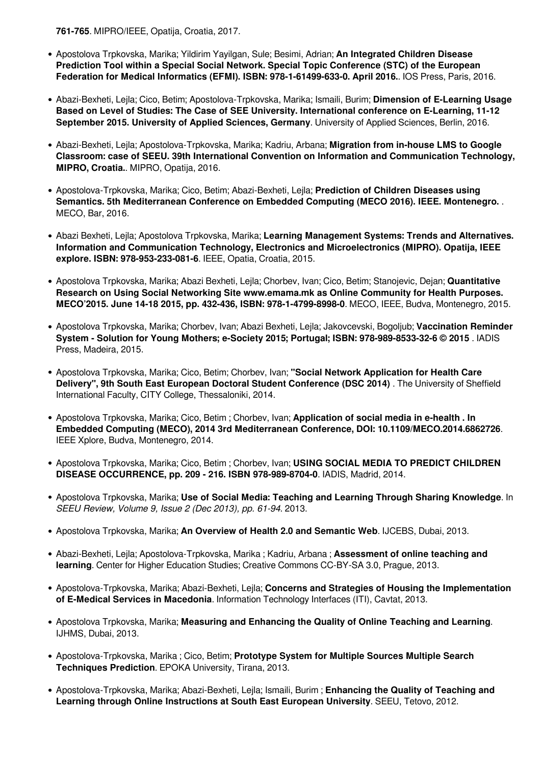**761-765**. MIPRO/IEEE, Opatija, Croatia, 2017.

- Apostolova Trpkovska, Marika; Yildirim Yayilgan, Sule; Besimi, Adrian; **An Integrated Children Disease Prediction Tool within a Special Social Network. Special Topic Conference (STC) of the European Federation for Medical Informatics (EFMI). ISBN: 978-1-61499-633-0. April 2016.**. IOS Press, Paris, 2016.
- Abazi-Bexheti, Lejla; Cico, Betim; Apostolova-Trpkovska, Marika; Ismaili, Burim; **Dimension of E-Learning Usage Based on Level of Studies: The Case of SEE University. International conference on E-Learning, 11-12 September 2015. University of Applied Sciences, Germany**. University of Applied Sciences, Berlin, 2016.
- Abazi-Bexheti, Lejla; Apostolova-Trpkovska, Marika; Kadriu, Arbana; **Migration from in-house LMS to Google Classroom: case of SEEU. 39th International Convention on Information and Communication Technology, MIPRO, Croatia.**. MIPRO, Opatija, 2016.
- Apostolova-Trpkovska, Marika; Cico, Betim; Abazi-Bexheti, Lejla; **Prediction of Children Diseases using Semantics. 5th Mediterranean Conference on Embedded Computing (MECO 2016). IEEE. Montenegro.** . MECO, Bar, 2016.
- Abazi Bexheti, Lejla; Apostolova Trpkovska, Marika; **Learning Management Systems: Trends and Alternatives. Information and Communication Technology, Electronics and Microelectronics (MIPRO). Opatija, IEEE explore. ISBN: 978-953-233-081-6**. IEEE, Opatia, Croatia, 2015.
- Apostolova Trpkovska, Marika; Abazi Bexheti, Lejla; Chorbev, Ivan; Cico, Betim; Stanojevic, Dejan; **Quantitative Research on Using Social Networking Site www.emama.mk as Online Community for Health Purposes. MECO'2015. June 14-18 2015, pp. 432-436, ISBN: 978-1-4799-8998-0**. MECO, IEEE, Budva, Montenegro, 2015.
- Apostolova Trpkovska, Marika; Chorbev, Ivan; Abazi Bexheti, Lejla; Jakovcevski, Bogoljub; **Vaccination Reminder System - Solution for Young Mothers; e-Society 2015; Portugal; ISBN: 978-989-8533-32-6 © 2015** . IADIS Press, Madeira, 2015.
- Apostolova Trpkovska, Marika; Cico, Betim; Chorbev, Ivan; **"Social Network Application for Health Care Delivery", 9th South East European Doctoral Student Conference (DSC 2014)** . The University of Sheffield International Faculty, CITY College, Thessaloniki, 2014.
- Apostolova Trpkovska, Marika; Cico, Betim ; Chorbev, Ivan; **Application of social media in e-health . In Embedded Computing (MECO), 2014 3rd Mediterranean Conference, DOI: 10.1109/MECO.2014.6862726**. IEEE Xplore, Budva, Montenegro, 2014.
- Apostolova Trpkovska, Marika; Cico, Betim ; Chorbev, Ivan; **USING SOCIAL MEDIA TO PREDICT CHILDREN DISEASE OCCURRENCE, pp. 209 - 216. ISBN 978-989-8704-0**. IADIS, Madrid, 2014.
- Apostolova Trpkovska, Marika; **Use of Social Media: Teaching and Learning Through Sharing Knowledge**. In *SEEU Review, Volume 9, Issue 2 (Dec 2013), pp. 61-94*. 2013.
- Apostolova Trpkovska, Marika; **An Overview of Health 2.0 and Semantic Web**. IJCEBS, Dubai, 2013.
- Abazi-Bexheti, Lejla; Apostolova-Trpkovska, Marika ; Kadriu, Arbana ; **Assessment of online teaching and learning**. Center for Higher Education Studies; Creative Commons CC-BY-SA 3.0, Prague, 2013.
- Apostolova-Trpkovska, Marika; Abazi-Bexheti, Lejla; **Concerns and Strategies of Housing the Implementation of E-Medical Services in Macedonia**. Information Technology Interfaces (ITI), Cavtat, 2013.
- Apostolova Trpkovska, Marika; **Measuring and Enhancing the Quality of Online Teaching and Learning**. IJHMS, Dubai, 2013.
- Apostolova-Trpkovska, Marika ; Cico, Betim; **Prototype System for Multiple Sources Multiple Search Techniques Prediction**. EPOKA University, Tirana, 2013.
- Apostolova-Trpkovska, Marika; Abazi-Bexheti, Lejla; Ismaili, Burim ; **Enhancing the Quality of Teaching and Learning through Online Instructions at South East European University**. SEEU, Tetovo, 2012.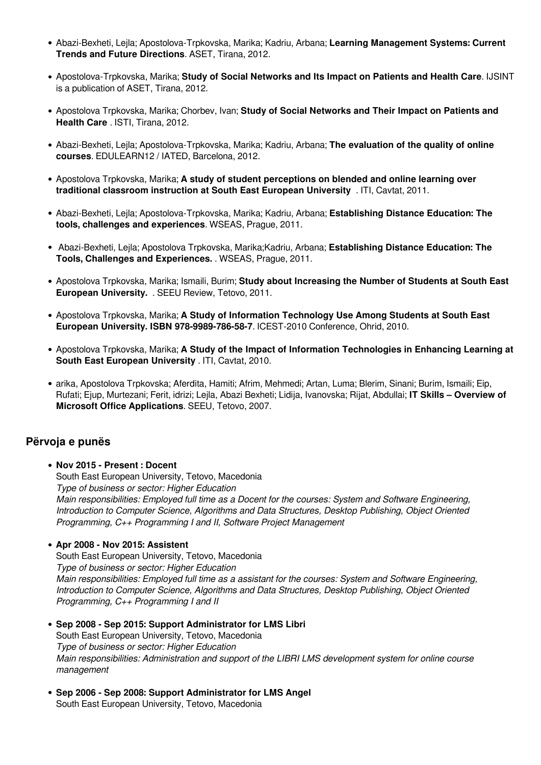- Abazi-Bexheti, Lejla; Apostolova-Trpkovska, Marika; Kadriu, Arbana; **Learning Management Systems: Current Trends and Future Directions**. ASET, Tirana, 2012.
- Apostolova-Trpkovska, Marika; **Study of Social Networks and Its Impact on Patients and Health Care**. IJSINT is a publication of ASET, Tirana, 2012.
- Apostolova Trpkovska, Marika; Chorbev, Ivan; **Study of Social Networks and Their Impact on Patients and Health Care** . ISTI, Tirana, 2012.
- Abazi-Bexheti, Lejla; Apostolova-Trpkovska, Marika; Kadriu, Arbana; **The evaluation of the quality of online courses**. EDULEARN12 / IATED, Barcelona, 2012.
- Apostolova Trpkovska, Marika; **A study of student perceptions on blended and online learning over traditional classroom instruction at South East European University** . ITI, Cavtat, 2011.
- Abazi-Bexheti, Lejla; Apostolova-Trpkovska, Marika; Kadriu, Arbana; **Establishing Distance Education: The tools, challenges and experiences**. WSEAS, Prague, 2011.
- Abazi-Bexheti, Lejla; Apostolova Trpkovska, Marika;Kadriu, Arbana; **Establishing Distance Education: The Tools, Challenges and Experiences.** . WSEAS, Prague, 2011.
- Apostolova Trpkovska, Marika; Ismaili, Burim; **Study about Increasing the Number of Students at South East European University.** . SEEU Review, Tetovo, 2011.
- Apostolova Trpkovska, Marika; **A Study of Information Technology Use Among Students at South East European University. ISBN 978-9989-786-58-7**. ICEST-2010 Conference, Ohrid, 2010.
- Apostolova Trpkovska, Marika; **A Study of the Impact of Information Technologies in Enhancing Learning at South East European University** . ITI, Cavtat, 2010.
- arika, Apostolova Trpkovska; Aferdita, Hamiti; Afrim, Mehmedi; Artan, Luma; Blerim, Sinani; Burim, Ismaili; Eip, Rufati; Ejup, Murtezani; Ferit, idrizi; Lejla, Abazi Bexheti; Lidija, Ivanovska; Rijat, Abdullai; **IT Skills – Overview of Microsoft Office Applications**. SEEU, Tetovo, 2007.

## **Përvoja e punës**

**Nov 2015 - Present : Docent** South East European University, Tetovo, Macedonia *Type of business or sector: Higher Education Main responsibilities: Employed full time as a Docent for the courses: System and Software Engineering, Introduction to Computer Science, Algorithms and Data Structures, Desktop Publishing, Object Oriented Programming, C++ Programming I and II, Software Project Management*

#### **Apr 2008 - Nov 2015: Assistent**

South East European University, Tetovo, Macedonia *Type of business or sector: Higher Education Main responsibilities: Employed full time as a assistant for the courses: System and Software Engineering, Introduction to Computer Science, Algorithms and Data Structures, Desktop Publishing, Object Oriented Programming, C++ Programming I and II*

- **Sep 2008 Sep 2015: Support Administrator for LMS Libri** South East European University, Tetovo, Macedonia *Type of business or sector: Higher Education Main responsibilities: Administration and support of the LIBRI LMS development system for online course management*
- **Sep 2006 Sep 2008: Support Administrator for LMS Angel** South East European University, Tetovo, Macedonia